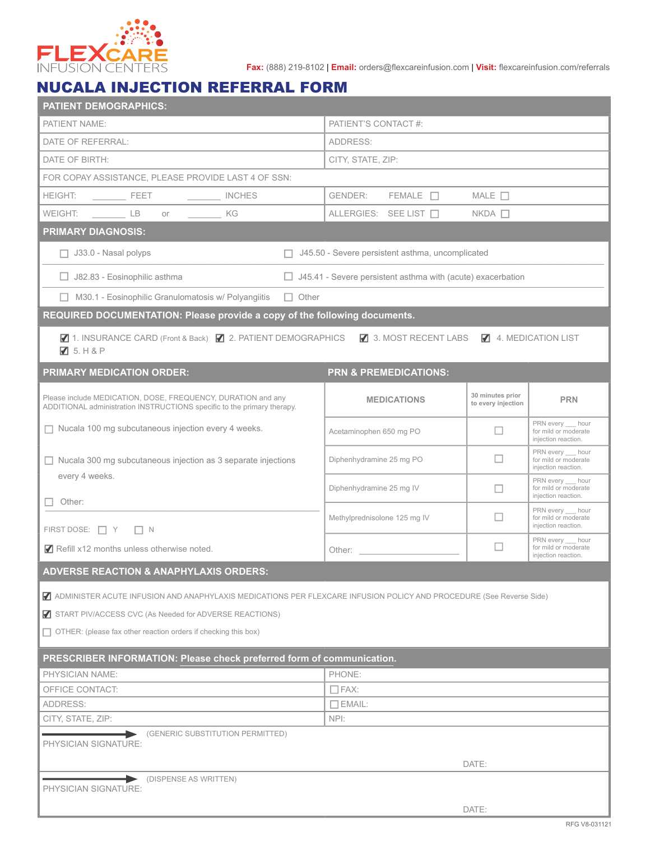

**Fax:** (888) 219-8102 | **Email:** orders@flexcareinfusion.com | **Visit:** flexcareinfusion.com/referrals

## NUCALA INJECTION REFERRAL FORM

| <b>PATIENT DEMOGRAPHICS:</b>                                                                                                                                                                                                                                                  |                                                                                                                                                                                                                                |                                                                    |                                                                  |  |  |
|-------------------------------------------------------------------------------------------------------------------------------------------------------------------------------------------------------------------------------------------------------------------------------|--------------------------------------------------------------------------------------------------------------------------------------------------------------------------------------------------------------------------------|--------------------------------------------------------------------|------------------------------------------------------------------|--|--|
| PATIENT'S CONTACT #:<br>PATIENT NAME:                                                                                                                                                                                                                                         |                                                                                                                                                                                                                                |                                                                    |                                                                  |  |  |
| DATE OF REFERRAL:                                                                                                                                                                                                                                                             | ADDRESS:                                                                                                                                                                                                                       |                                                                    |                                                                  |  |  |
| DATE OF BIRTH:                                                                                                                                                                                                                                                                | CITY, STATE, ZIP:                                                                                                                                                                                                              |                                                                    |                                                                  |  |  |
| FOR COPAY ASSISTANCE, PLEASE PROVIDE LAST 4 OF SSN:                                                                                                                                                                                                                           |                                                                                                                                                                                                                                |                                                                    |                                                                  |  |  |
| <b>HEIGHT:</b><br>INCHES                                                                                                                                                                                                                                                      | $FEMALE$ $\Box$<br>GENDER:                                                                                                                                                                                                     | MALE $\Box$                                                        |                                                                  |  |  |
| WEIGHT: LB<br>$or$ and $or$ and $or$ and $or$ and $or$ and $or$ and $or$ and $or$ and $or$ and $or$ and $or$ and $or$ and $or$ and $or$ and $or$ and $or$ and $or$ and $or$ and $or$ and $or$ and $or$ and $or$ and $or$ and $or$ and $or$ and $or$ and $or$ and $or$ a<br>KG | ALLERGIES: SEE LIST □                                                                                                                                                                                                          | $NKDA$ $\Box$                                                      |                                                                  |  |  |
| <b>PRIMARY DIAGNOSIS:</b>                                                                                                                                                                                                                                                     |                                                                                                                                                                                                                                |                                                                    |                                                                  |  |  |
| $\Box$ J33.0 - Nasal polyps                                                                                                                                                                                                                                                   | J45.50 - Severe persistent asthma, uncomplicated                                                                                                                                                                               |                                                                    |                                                                  |  |  |
| J82.83 - Eosinophilic asthma                                                                                                                                                                                                                                                  |                                                                                                                                                                                                                                | $\Box$ J45.41 - Severe persistent asthma with (acute) exacerbation |                                                                  |  |  |
| $\Box$ M30.1 - Eosinophilic Granulomatosis w/ Polyangiitis<br>$\Box$ Other                                                                                                                                                                                                    |                                                                                                                                                                                                                                |                                                                    |                                                                  |  |  |
| REQUIRED DOCUMENTATION: Please provide a copy of the following documents.                                                                                                                                                                                                     |                                                                                                                                                                                                                                |                                                                    |                                                                  |  |  |
| ■ 1. INSURANCE CARD (Front & Back) ■ 2. PATIENT DEMOGRAPHICS ■ 3. MOST RECENT LABS<br>75. H8P                                                                                                                                                                                 |                                                                                                                                                                                                                                |                                                                    | 4. MEDICATION LIST                                               |  |  |
| <b>PRIMARY MEDICATION ORDER:</b>                                                                                                                                                                                                                                              | <b>PRN &amp; PREMEDICATIONS:</b>                                                                                                                                                                                               |                                                                    |                                                                  |  |  |
| Please include MEDICATION, DOSE, FREQUENCY, DURATION and any<br>ADDITIONAL administration INSTRUCTIONS specific to the primary therapy.                                                                                                                                       | <b>MEDICATIONS</b>                                                                                                                                                                                                             | 30 minutes prior<br>to every injection                             | <b>PRN</b>                                                       |  |  |
| Nucala 100 mg subcutaneous injection every 4 weeks.                                                                                                                                                                                                                           | Acetaminophen 650 mg PO                                                                                                                                                                                                        | □                                                                  | PRN every hour<br>for mild or moderate<br>injection reaction.    |  |  |
| Nucala 300 mg subcutaneous injection as 3 separate injections<br>every 4 weeks.                                                                                                                                                                                               | Diphenhydramine 25 mg PO                                                                                                                                                                                                       | □                                                                  | PRN every hour<br>for mild or moderate<br>injection reaction.    |  |  |
| Other:                                                                                                                                                                                                                                                                        | Diphenhydramine 25 mg IV                                                                                                                                                                                                       |                                                                    | PRN every hour<br>for mild or moderate<br>injection reaction.    |  |  |
| FIRST DOSE: $\Box$ Y $\Box$ N                                                                                                                                                                                                                                                 | Methylprednisolone 125 mg IV                                                                                                                                                                                                   |                                                                    | PRN every __ hour<br>for mild or moderate<br>injection reaction. |  |  |
| Refill x12 months unless otherwise noted.                                                                                                                                                                                                                                     | Other: and the contract of the contract of the contract of the contract of the contract of the contract of the contract of the contract of the contract of the contract of the contract of the contract of the contract of the | ப                                                                  | PRN every hour<br>for mild or moderate<br>injection reaction.    |  |  |
| <b>ADVERSE REACTION &amp; ANAPHYLAXIS ORDERS:</b>                                                                                                                                                                                                                             |                                                                                                                                                                                                                                |                                                                    |                                                                  |  |  |
| ADMINISTER ACUTE INFUSION AND ANAPHYLAXIS MEDICATIONS PER FLEXCARE INFUSION POLICY AND PROCEDURE (See Reverse Side)                                                                                                                                                           |                                                                                                                                                                                                                                |                                                                    |                                                                  |  |  |
| <b>7</b> START PIV/ACCESS CVC (As Needed for ADVERSE REACTIONS)                                                                                                                                                                                                               |                                                                                                                                                                                                                                |                                                                    |                                                                  |  |  |
| $\Box$ OTHER: (please fax other reaction orders if checking this box)                                                                                                                                                                                                         |                                                                                                                                                                                                                                |                                                                    |                                                                  |  |  |
| PRESCRIBER INFORMATION: Please check preferred form of communication.                                                                                                                                                                                                         |                                                                                                                                                                                                                                |                                                                    |                                                                  |  |  |
| PHYSICIAN NAME:                                                                                                                                                                                                                                                               | PHONE:                                                                                                                                                                                                                         |                                                                    |                                                                  |  |  |
| OFFICE CONTACT:                                                                                                                                                                                                                                                               | $\Box$ FAX:                                                                                                                                                                                                                    |                                                                    |                                                                  |  |  |
| ADDRESS:                                                                                                                                                                                                                                                                      | $\Box$ EMAIL:                                                                                                                                                                                                                  |                                                                    |                                                                  |  |  |
| CITY, STATE, ZIP:                                                                                                                                                                                                                                                             | NPI:                                                                                                                                                                                                                           |                                                                    |                                                                  |  |  |
| (GENERIC SUBSTITUTION PERMITTED)<br>PHYSICIAN SIGNATURE:                                                                                                                                                                                                                      |                                                                                                                                                                                                                                |                                                                    |                                                                  |  |  |
|                                                                                                                                                                                                                                                                               |                                                                                                                                                                                                                                | DATE:                                                              |                                                                  |  |  |
| DISPENSE AS WRITTEN)                                                                                                                                                                                                                                                          |                                                                                                                                                                                                                                |                                                                    |                                                                  |  |  |
| PHYSICIAN SIGNATURE:                                                                                                                                                                                                                                                          |                                                                                                                                                                                                                                |                                                                    |                                                                  |  |  |
|                                                                                                                                                                                                                                                                               |                                                                                                                                                                                                                                | DATE:                                                              |                                                                  |  |  |